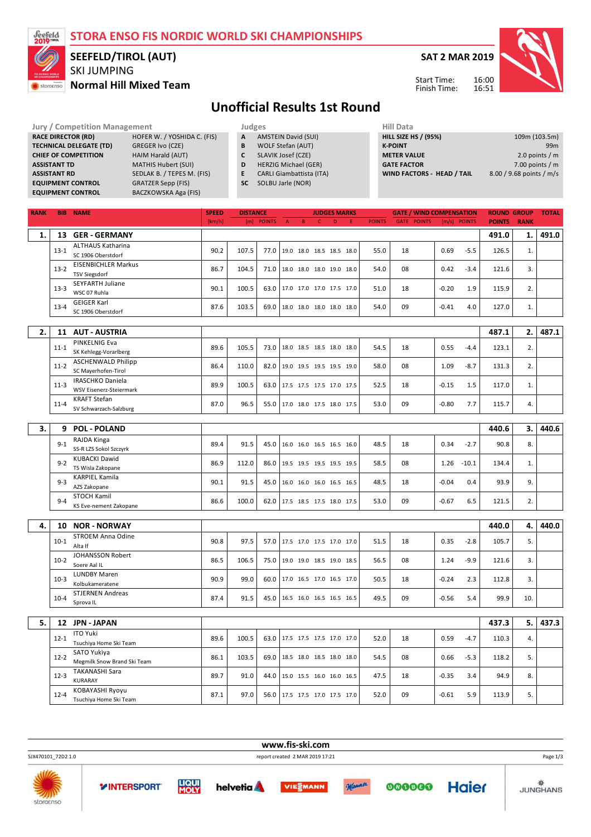| I STORA ENSO FIS NORDIC WORLD SKI CHAMPIONSHIPS |
|-------------------------------------------------|
|-------------------------------------------------|



storaenso

#### SKI JUMPING **Normal Hill Mixed Team SEEFELD/TIROL (AUT)**

**SAT 2 MAR 2019**



Start Time: Finish Time:

## **Unofficial Results 1st Round**

| <b>Jury / Competition Management</b> |                             |              | Judges                          |  |                    |  |  |  |  |
|--------------------------------------|-----------------------------|--------------|---------------------------------|--|--------------------|--|--|--|--|
| <b>RACE DIRECTOR (RD)</b>            | HOFER W. / YOSHIDA C. (FIS) | $\mathbf{A}$ | <b>AMSTEIN David (SUI)</b>      |  | <b>HILL SIZE H</b> |  |  |  |  |
| <b>TECHNICAL DELEGATE (TD)</b>       | <b>GREGER Ivo (CZE)</b>     | B            | WOLF Stefan (AUT)               |  | <b>K-POINT</b>     |  |  |  |  |
| <b>CHIEF OF COMPETITION</b>          | HAIM Harald (AUT)           |              | SLAVIK Josef (CZE)              |  | <b>METER VA</b>    |  |  |  |  |
| <b>ASSISTANT TD</b>                  | <b>MATHIS Hubert (SUI)</b>  | D            | <b>HERZIG Michael (GER)</b>     |  | <b>GATE FACT</b>   |  |  |  |  |
| <b>ASSISTANT RD</b>                  | SEDLAK B. / TEPES M. (FIS)  | E            | <b>CARLI Giambattista (ITA)</b> |  | <b>WIND FAC</b>    |  |  |  |  |
| <b>EQUIPMENT CONTROL</b>             | <b>GRATZER Sepp (FIS)</b>   | <b>SC</b>    | SOLBU Jarle (NOR)               |  |                    |  |  |  |  |
| <b>EQUIPMENT CONTROL</b>             | BACZKOWSKA Aga (FIS)        |              |                                 |  |                    |  |  |  |  |

| Hill Data                         |                          |
|-----------------------------------|--------------------------|
| <b>HILL SIZE HS / (95%)</b>       | 109m (103.5m)            |
| <b>K-POINT</b>                    | 99m                      |
| <b>METER VALUE</b>                | 2.0 points $/m$          |
| <b>GATE FACTOR</b>                | 7.00 points $/m$         |
| <b>WIND FACTORS - HEAD / TAIL</b> | 8.00 / 9.68 points / m/s |
|                                   |                          |

| <b>RANK</b> |          | <b>BIB NAME</b>                                      | <b>SPEED</b> | <b>DISTANCE</b> |               |              |             |   | <b>JUDGES MARKS</b>      |   |               | <b>GATE / WIND COMPENSATION</b> |         |              | <b>ROUND GROUP</b> |             | <b>TOTAL</b> |
|-------------|----------|------------------------------------------------------|--------------|-----------------|---------------|--------------|-------------|---|--------------------------|---|---------------|---------------------------------|---------|--------------|--------------------|-------------|--------------|
|             |          |                                                      | [km/h]       | [m]             | <b>POINTS</b> | $\mathsf{A}$ | $\mathsf B$ | C | D                        | F | <b>POINTS</b> | <b>GATE POINTS</b>              |         | [m/s] POINTS | <b>POINTS</b>      | <b>RANK</b> |              |
| 1.          | 13       | <b>GER - GERMANY</b>                                 |              |                 |               |              |             |   |                          |   |               |                                 |         |              | 491.0              | 1.          | 491.0        |
|             |          | <b>ALTHAUS Katharina</b>                             |              |                 |               |              |             |   |                          |   |               |                                 |         |              |                    |             |              |
|             | $13 - 1$ | SC 1906 Oberstdorf                                   | 90.2         | 107.5           | 77.0          |              |             |   | 19.0 18.0 18.5 18.5 18.0 |   | 55.0          | 18                              | 0.69    | $-5.5$       | 126.5              | 1.          |              |
|             | $13-2$   | <b>EISENBICHLER Markus</b>                           | 86.7         | 104.5           | 71.0          |              |             |   | 18.0 18.0 18.0 19.0 18.0 |   | 54.0          | 08                              | 0.42    | $-3.4$       | 121.6              | 3.          |              |
|             |          | <b>TSV Siegsdorf</b>                                 |              |                 |               |              |             |   |                          |   |               |                                 |         |              |                    |             |              |
|             | $13 - 3$ | SEYFARTH Juliane                                     | 90.1         | 100.5           | 63.0          |              |             |   | 17.0 17.0 17.0 17.5 17.0 |   | 51.0          | 18                              | $-0.20$ | 1.9          | 115.9              | 2.          |              |
|             |          | WSC 07 Ruhla                                         |              |                 |               |              |             |   |                          |   |               |                                 |         |              |                    |             |              |
|             | $13 - 4$ | <b>GEIGER Karl</b>                                   | 87.6         | 103.5           | 69.0          |              |             |   | 18.0 18.0 18.0 18.0 18.0 |   | 54.0          | 09                              | $-0.41$ | 4.0          | 127.0              | 1.          |              |
|             |          | SC 1906 Oberstdorf                                   |              |                 |               |              |             |   |                          |   |               |                                 |         |              |                    |             |              |
| 2.          | 11       | <b>AUT - AUSTRIA</b>                                 |              |                 |               |              |             |   |                          |   |               |                                 |         |              | 487.1              | 2.          | 487.1        |
|             |          | PINKELNIG Eva                                        |              |                 |               |              |             |   |                          |   |               |                                 |         |              |                    |             |              |
|             | $11 - 1$ | SK Kehlegg-Vorarlberg                                | 89.6         | 105.5           | 73.0          |              |             |   | 18.0 18.5 18.5 18.0 18.0 |   | 54.5          | 18                              | 0.55    | $-4.4$       | 123.1              | 2.          |              |
|             |          | <b>ASCHENWALD Philipp</b>                            |              |                 |               |              |             |   |                          |   |               |                                 |         |              |                    |             |              |
|             | $11-2$   | SC Mayerhofen-Tirol                                  | 86.4         | 110.0           | 82.0          |              |             |   | 19.0 19.5 19.5 19.5 19.0 |   | 58.0          | 08                              | 1.09    | $-8.7$       | 131.3              | 2.          |              |
|             |          | <b>IRASCHKO Daniela</b>                              | 89.9         | 100.5           |               |              |             |   |                          |   | 52.5          | 18                              |         |              |                    |             |              |
|             | $11-3$   | WSV Eisenerz-Steiermark                              |              |                 | 63.0          |              |             |   | 17.5 17.5 17.5 17.0 17.5 |   |               |                                 | $-0.15$ | 1.5          | 117.0              | 1.          |              |
|             | $11 - 4$ | <b>KRAFT Stefan</b>                                  | 87.0         | 96.5            | 55.0          |              |             |   | 17.0 18.0 17.5 18.0 17.5 |   | 53.0          | 09                              | -0.80   | 7.7          | 115.7              | 4.          |              |
|             |          | SV Schwarzach-Salzburg                               |              |                 |               |              |             |   |                          |   |               |                                 |         |              |                    |             |              |
|             |          |                                                      |              |                 |               |              |             |   |                          |   |               |                                 |         |              |                    |             |              |
| 3.          | 9        | <b>POL - POLAND</b>                                  |              |                 |               |              |             |   |                          |   |               |                                 |         |              | 440.6              | 3.          | 440.6        |
|             | $9 - 1$  | RAJDA Kinga<br>SS-R LZS Sokol Szczyrk                | 89.4         | 91.5            | 45.0          |              |             |   | 16.0 16.0 16.5 16.5 16.0 |   | 48.5          | 18                              | 0.34    | $-2.7$       | 90.8               | 8.          |              |
|             |          | <b>KUBACKI Dawid</b>                                 |              |                 |               |              |             |   |                          |   |               |                                 |         |              |                    |             |              |
|             | $9 - 2$  | TS Wisla Zakopane                                    | 86.9         | 112.0           | 86.0          |              |             |   | 19.5 19.5 19.5 19.5 19.5 |   | 58.5          | 08                              | 1.26    | $-10.1$      | 134.4              | 1.          |              |
|             |          | <b>KARPIEL Kamila</b>                                |              |                 |               |              |             |   |                          |   |               |                                 |         |              |                    |             |              |
|             | $9 - 3$  | AZS Zakopane                                         | 90.1         | 91.5            | 45.0          |              |             |   | 16.0 16.0 16.0 16.5 16.5 |   | 48.5          | 18                              | $-0.04$ | 0.4          | 93.9               | 9.          |              |
|             | $9 - 4$  | <b>STOCH Kamil</b>                                   | 86.6         | 100.0           | 62.0          |              |             |   | 17.5 18.5 17.5 18.0 17.5 |   | 53.0          | 09                              | $-0.67$ | 6.5          | 121.5              | 2.          |              |
|             |          | KS Eve-nement Zakopane                               |              |                 |               |              |             |   |                          |   |               |                                 |         |              |                    |             |              |
|             |          |                                                      |              |                 |               |              |             |   |                          |   |               |                                 |         |              |                    |             |              |
| 4.          | 10       | <b>NOR - NORWAY</b>                                  |              |                 |               |              |             |   |                          |   |               |                                 |         |              | 440.0              | 4.          | 440.0        |
|             | $10-1$   | <b>STROEM Anna Odine</b>                             | 90.8         | 97.5            | 57.0          |              |             |   | 17.5 17.0 17.5 17.0 17.0 |   | 51.5          | 18                              | 0.35    | $-2.8$       | 105.7              | 5.          |              |
|             |          | Alta If                                              |              |                 |               |              |             |   |                          |   |               |                                 |         |              |                    |             |              |
|             | $10-2$   | <b>JOHANSSON Robert</b><br>Soere Aal IL              | 86.5         | 106.5           | 75.0          |              |             |   | 19.0 19.0 18.5 19.0 18.5 |   | 56.5          | 08                              | 1.24    | $-9.9$       | 121.6              | 3.          |              |
|             |          | <b>LUNDBY Maren</b>                                  |              |                 |               |              |             |   |                          |   |               |                                 |         |              |                    |             |              |
|             | $10-3$   | Kolbukameratene                                      | 90.9         | 99.0            | 60.0          |              |             |   | 17.0 16.5 17.0 16.5 17.0 |   | 50.5          | 18                              | $-0.24$ | 2.3          | 112.8              | 3.          |              |
|             |          | <b>STJERNEN Andreas</b>                              |              |                 |               |              |             |   |                          |   |               |                                 |         |              |                    |             |              |
|             | $10 - 4$ | Sprova IL                                            | 87.4         | 91.5            | 45.0          |              |             |   | 16.5 16.0 16.5 16.5 16.5 |   | 49.5          | 09                              | $-0.56$ | 5.4          | 99.9               | 10.         |              |
|             |          |                                                      |              |                 |               |              |             |   |                          |   |               |                                 |         |              |                    |             |              |
| 5.          | 12       | <b>JPN - JAPAN</b>                                   |              |                 |               |              |             |   |                          |   |               |                                 |         |              | 437.3              | 5.          | 437.3        |
|             | $12 - 1$ | <b>ITO Yuki</b>                                      | 89.6         | 100.5           | 63.0          |              |             |   | 17.5 17.5 17.5 17.0 17.0 |   | 52.0          | 18                              | 0.59    | $-4.7$       | 110.3              | 4.          |              |
|             |          | Tsuchiya Home Ski Team                               |              |                 |               |              |             |   |                          |   |               |                                 |         |              |                    |             |              |
|             | $12 - 2$ | SATO Yukiya                                          | 86.1         | 103.5           | 69.0          |              |             |   | 18.5 18.0 18.5 18.0 18.0 |   | 54.5          | 08                              | 0.66    | $-5.3$       | 118.2              | 5.          |              |
|             |          | Megmilk Snow Brand Ski Team<br><b>TAKANASHI Sara</b> |              |                 |               |              |             |   |                          |   |               |                                 |         |              |                    |             |              |
|             | $12 - 3$ | KURARAY                                              | 89.7         | 91.0            | 44.0          |              |             |   | 15.0 15.5 16.0 16.0 16.5 |   | 47.5          | 18                              | $-0.35$ | 3.4          | 94.9               | 8.          |              |
|             |          | KOBAYASHI Ryoyu                                      |              |                 |               |              |             |   |                          |   |               |                                 |         |              |                    |             |              |
|             | $12 - 4$ | Tsuchiya Home Ski Team                               | 87.1         | 97.0            | 56.0          |              |             |   | 17.5 17.5 17.0 17.5 17.0 |   | 52.0          | 09                              | $-0.61$ | 5.9          | 113.9              | 5.          |              |

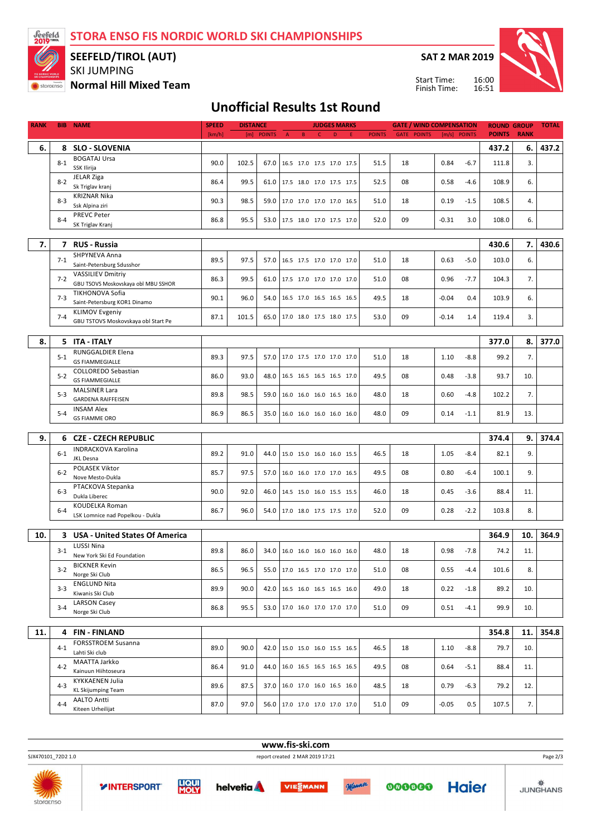**STORA ENSO FIS NORDIC WORLD SKI CHAMPIONSHIPS**



#### SKI JUMPING **SEEFELD/TIROL (AUT)**

**Normal Hill Mixed Team**

**SAT 2 MAR 2019**

Start Time: Finish Time:



### **Unofficial Results 1st Round**

| <b>RANK</b> | <b>BIB</b> | <b>NAME</b>                                                     | <b>SPEED</b><br><b>DISTANCE</b> |       |            |   |   | <b>JUDGES MARKS</b> |                                 |   | <b>GATE / WIND COMPENSATION</b> |                    | <b>ROUND GROUP</b> |        | <b>TOTAL</b>  |             |       |
|-------------|------------|-----------------------------------------------------------------|---------------------------------|-------|------------|---|---|---------------------|---------------------------------|---|---------------------------------|--------------------|--------------------|--------|---------------|-------------|-------|
|             |            |                                                                 | [km/h]                          |       | [m] POINTS | A | B | $\mathsf{C}$        | $\mathsf D$                     | E | <b>POINTS</b>                   | <b>GATE POINTS</b> | [m/s] POINTS       |        | <b>POINTS</b> | <b>RANK</b> |       |
| 6.          | 8          | <b>SLO - SLOVENIA</b>                                           |                                 |       |            |   |   |                     |                                 |   |                                 |                    |                    |        | 437.2         | 6.          | 437.2 |
|             |            | <b>BOGATAJ Ursa</b>                                             |                                 |       |            |   |   |                     |                                 |   |                                 |                    |                    |        |               |             |       |
|             | $8 - 1$    | SSK Ilirija                                                     | 90.0                            | 102.5 | 67.0       |   |   |                     | 16.5 17.0 17.5 17.0 17.5        |   | 51.5                            | 18                 | 0.84               | $-6.7$ | 111.8         | 3.          |       |
|             |            | JELAR Ziga                                                      |                                 | 99.5  |            |   |   |                     |                                 |   |                                 |                    |                    | $-4.6$ |               |             |       |
|             | $8-2$      | Sk Triglav kranj                                                | 86.4                            |       | 61.0       |   |   |                     | 17.5 18.0 17.0 17.5 17.5        |   | 52.5                            | 08                 | 0.58               |        | 108.9         | 6.          |       |
|             | $8-3$      | <b>KRIZNAR Nika</b>                                             | 90.3                            | 98.5  | 59.0       |   |   |                     | 17.0 17.0 17.0 17.0 16.5        |   | 51.0                            | 18                 | 0.19               | $-1.5$ | 108.5         | 4.          |       |
|             |            | Ssk Alpina ziri                                                 |                                 |       |            |   |   |                     |                                 |   |                                 |                    |                    |        |               |             |       |
|             | $8 - 4$    | <b>PREVC Peter</b>                                              | 86.8                            | 95.5  | 53.0       |   |   |                     | 17.5 18.0 17.0 17.5 17.0        |   | 52.0                            | 09                 | $-0.31$            | 3.0    | 108.0         | 6.          |       |
|             |            | SK Triglav Kranj                                                |                                 |       |            |   |   |                     |                                 |   |                                 |                    |                    |        |               |             |       |
|             |            |                                                                 |                                 |       |            |   |   |                     |                                 |   |                                 |                    |                    |        |               |             |       |
| 7.          | 7          | <b>RUS - Russia</b>                                             |                                 |       |            |   |   |                     |                                 |   |                                 |                    |                    |        | 430.6         | 7.          | 430.6 |
|             | $7-1$      | SHPYNEVA Anna                                                   | 89.5                            | 97.5  | 57.0       |   |   |                     | 16.5 17.5 17.0 17.0 17.0        |   | 51.0                            | 18                 | 0.63               | $-5.0$ | 103.0         | 6.          |       |
|             |            | Saint-Petersburg Sdusshor                                       |                                 |       |            |   |   |                     |                                 |   |                                 |                    |                    |        |               |             |       |
|             | $7-2$      | <b>VASSILIEV Dmitriy</b><br>GBU TSOVS Moskovskaya obl MBU SSHOR | 86.3                            | 99.5  | 61.0       |   |   |                     | 17.5 17.0 17.0 17.0 17.0        |   | 51.0                            | 08                 | 0.96               | $-7.7$ | 104.3         | 7.          |       |
|             |            | TIKHONOVA Sofia                                                 |                                 |       |            |   |   |                     |                                 |   |                                 |                    |                    |        |               |             |       |
|             | $7-3$      | Saint-Petersburg KOR1 Dinamo                                    | 90.1                            | 96.0  | 54.0       |   |   |                     | 16.5 17.0 16.5 16.5 16.5        |   | 49.5                            | 18                 | $-0.04$            | 0.4    | 103.9         | 6.          |       |
|             |            | <b>KLIMOV Evgeniy</b>                                           |                                 |       |            |   |   |                     |                                 |   |                                 |                    |                    |        |               |             |       |
|             | $7 - 4$    | GBU TSTOVS Moskovskaya obl Start Pe                             | 87.1                            | 101.5 | 65.0       |   |   |                     | 17.0 18.0 17.5 18.0 17.5        |   | 53.0                            | 09                 | $-0.14$            | 1.4    | 119.4         | 3.          |       |
|             |            |                                                                 |                                 |       |            |   |   |                     |                                 |   |                                 |                    |                    |        |               |             |       |
| 8.          |            | 5 ITA - ITALY                                                   |                                 |       |            |   |   |                     |                                 |   |                                 |                    |                    |        | 377.0         | 8.          | 377.0 |
|             |            | RUNGGALDIER Elena                                               |                                 |       |            |   |   |                     |                                 |   |                                 |                    |                    |        |               |             |       |
|             | $5 - 1$    | <b>GS FIAMMEGIALLE</b>                                          | 89.3                            | 97.5  | 57.0       |   |   |                     | 17.0 17.5 17.0 17.0 17.0        |   | 51.0                            | 18                 | 1.10               | $-8.8$ | 99.2          | 7.          |       |
|             | $5 - 2$    | <b>COLLOREDO Sebastian</b>                                      | 86.0                            | 93.0  | 48.0       |   |   |                     | 16.5 16.5 16.5 16.5 17.0        |   | 49.5                            | 08                 | 0.48               | $-3.8$ | 93.7          |             |       |
|             |            | <b>GS FIAMMEGIALLE</b>                                          |                                 |       |            |   |   |                     |                                 |   |                                 |                    |                    |        |               | 10.         |       |
|             | $5-3$      | <b>MALSINER Lara</b>                                            | 89.8                            | 98.5  | 59.0       |   |   |                     | 16.0 16.0 16.0 16.5 16.0        |   | 48.0                            | 18                 | 0.60               | $-4.8$ | 102.2         | 7.          |       |
|             |            | <b>GARDENA RAIFFEISEN</b>                                       |                                 |       |            |   |   |                     |                                 |   |                                 |                    |                    |        |               |             |       |
|             | $5 - 4$    | <b>INSAM Alex</b>                                               | 86.9                            | 86.5  | 35.0       |   |   |                     | 16.0 16.0 16.0 16.0 16.0        |   | 48.0                            | 09                 | 0.14               | $-1.1$ | 81.9          | 13.         |       |
|             |            | <b>GS FIAMME ORO</b>                                            |                                 |       |            |   |   |                     |                                 |   |                                 |                    |                    |        |               |             |       |
| 9.          | 6          | <b>CZE - CZECH REPUBLIC</b>                                     |                                 |       |            |   |   |                     |                                 |   |                                 |                    |                    |        | 374.4         | 9.          | 374.4 |
|             |            | <b>INDRACKOVA Karolina</b>                                      |                                 |       |            |   |   |                     |                                 |   |                                 |                    |                    |        |               |             |       |
|             | $6 - 1$    | <b>JKL Desna</b>                                                | 89.2                            | 91.0  | 44.0       |   |   |                     | 15.0 15.0 16.0 16.0 15.5        |   | 46.5                            | 18                 | 1.05               | $-8.4$ | 82.1          | 9.          |       |
|             |            | POLASEK Viktor                                                  |                                 |       |            |   |   |                     |                                 |   |                                 |                    |                    |        |               |             |       |
|             | $6-2$      | Nove Mesto-Dukla                                                | 85.7                            | 97.5  | 57.0       |   |   |                     | 16.0 16.0 17.0 17.0 16.5        |   | 49.5                            | 08                 | 0.80               | $-6.4$ | 100.1         | 9.          |       |
|             |            | PTACKOVA Stepanka                                               |                                 |       |            |   |   |                     |                                 |   |                                 |                    |                    |        |               |             |       |
|             | $6-3$      | Dukla Liberec                                                   | 90.0                            | 92.0  | 46.0       |   |   |                     | 14.5 15.0 16.0 15.5 15.5        |   | 46.0                            | 18                 | 0.45               | $-3.6$ | 88.4          | 11.         |       |
|             |            | <b>KOUDELKA Roman</b>                                           |                                 |       |            |   |   |                     |                                 |   |                                 | 09                 |                    |        |               |             |       |
|             | $6 - 4$    | LSK Lomnice nad Popelkou - Dukla                                | 86.7                            | 96.0  | 54.0       |   |   |                     | 17.0 18.0 17.5 17.5 17.0        |   | 52.0                            |                    | 0.28               | $-2.2$ | 103.8         | 8.          |       |
|             |            |                                                                 |                                 |       |            |   |   |                     |                                 |   |                                 |                    |                    |        |               |             |       |
| 10.         | 3          | <b>USA - United States Of America</b>                           |                                 |       |            |   |   |                     |                                 |   |                                 |                    |                    |        | 364.9         | 10.         | 364.9 |
|             | $3-1$      | <b>LUSSI Nina</b>                                               | 89.8                            | 86.0  | 34.0       |   |   |                     | 16.0 16.0 16.0 16.0 16.0        |   | 48.0                            | 18                 | 0.98               | $-7.8$ | 74.2          | 11.         |       |
|             |            | New York Ski Ed Foundation                                      |                                 |       |            |   |   |                     |                                 |   |                                 |                    |                    |        |               |             |       |
|             | $3-2$      | <b>BICKNER Kevin</b>                                            | 86.5                            | 96.5  |            |   |   |                     | 55.0   17.0 16.5 17.0 17.0 17.0 |   | 51.0                            | 08                 | 0.55               | $-4.4$ | 101.6         | 8.          |       |
|             |            | Norge Ski Club                                                  |                                 |       |            |   |   |                     |                                 |   |                                 |                    |                    |        |               |             |       |
|             | $3-3$      | <b>ENGLUND Nita</b>                                             | 89.9                            | 90.0  |            |   |   |                     | 42.0 16.5 16.0 16.5 16.5 16.0   |   | 49.0                            | 18                 | 0.22               | $-1.8$ | 89.2          | 10.         |       |
|             |            | Kiwanis Ski Club                                                |                                 |       |            |   |   |                     |                                 |   |                                 |                    |                    |        |               |             |       |
|             | $3 - 4$    | <b>LARSON Casey</b><br>Norge Ski Club                           | 86.8                            | 95.5  | 53.0       |   |   |                     | 17.0 16.0 17.0 17.0 17.0        |   | 51.0                            | 09                 | 0.51               | $-4.1$ | 99.9          | 10.         |       |
|             |            |                                                                 |                                 |       |            |   |   |                     |                                 |   |                                 |                    |                    |        |               |             |       |
| 11.         |            | 4 FIN-FINLAND                                                   |                                 |       |            |   |   |                     |                                 |   |                                 |                    |                    |        | 354.8         | 11.         | 354.8 |
|             |            | FORSSTROEM Susanna                                              |                                 |       |            |   |   |                     |                                 |   |                                 |                    |                    |        |               |             |       |
|             | $4 - 1$    | Lahti Ski club                                                  | 89.0                            | 90.0  | 42.0       |   |   |                     | 15.0 15.0 16.0 15.5 16.5        |   | 46.5                            | 18                 | 1.10               | $-8.8$ | 79.7          | 10.         |       |
|             |            | MAATTA Jarkko                                                   |                                 |       |            |   |   |                     |                                 |   |                                 |                    |                    |        |               |             |       |
|             | $4 - 2$    | Kainuun Hiihtoseura                                             | 86.4                            | 91.0  | 44.0       |   |   |                     | 16.0 16.5 16.5 16.5 16.5        |   | 49.5                            | 08                 | 0.64               | $-5.1$ | 88.4          | 11.         |       |
|             |            | KYKKAENEN Julia                                                 |                                 |       |            |   |   |                     |                                 |   |                                 |                    |                    |        |               |             |       |
|             | $4 - 3$    | KL Skijumping Team                                              | 89.6                            | 87.5  | 37.0       |   |   |                     | 16.0 17.0 16.0 16.5 16.0        |   | 48.5                            | 18                 | 0.79               | $-6.3$ | 79.2          | 12.         |       |
|             |            | <b>AALTO Antti</b>                                              |                                 |       |            |   |   |                     | 56.0   17.0 17.0 17.0 17.0 17.0 |   | 51.0                            | 09                 | $-0.05$            | 0.5    | 107.5         | 7.          |       |
|             | $4 - 4$    |                                                                 | 87.0                            | 97.0  |            |   |   |                     |                                 |   |                                 |                    |                    |        |               |             |       |